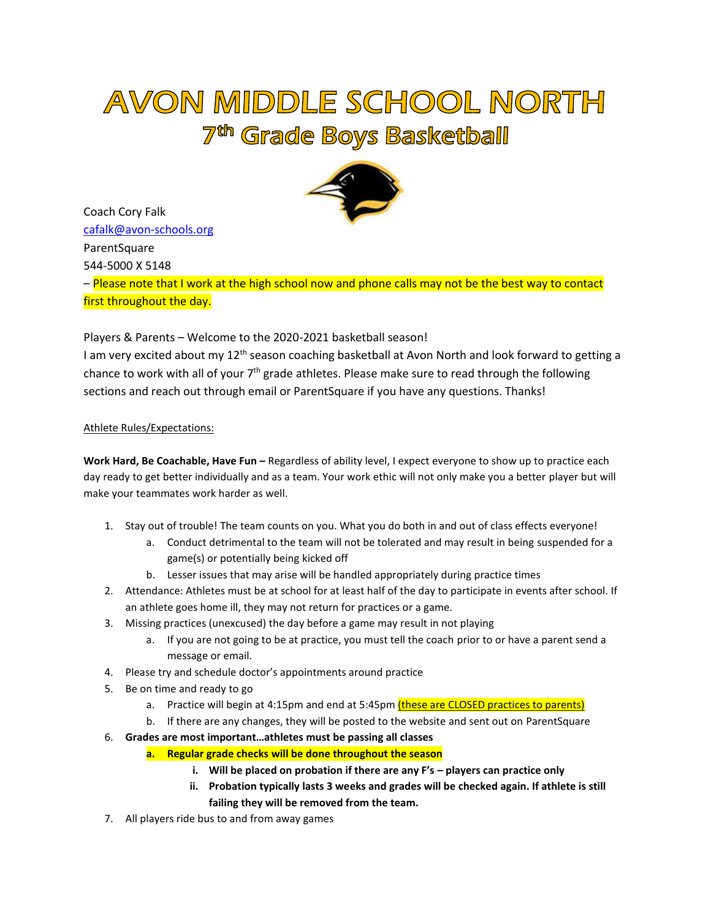## AVON MIDDLE SCHOOL NORTH 7<sup>th</sup> Grade Boys Basketball

Coach Cory Falk [cafalk@avon-schools.org](mailto:cafalk@avon-schools.org)  **ParentSquare** 544-5000 X 5148 – Please note that I work at the high school now and phone calls may not be the best way to contact first throughout the day.

Players & Parents – Welcome to the 2020-2021 basketball season!

I am very excited about my 12<sup>th</sup> season coaching basketball at Avon North and look forward to getting a chance to work with all of your 7<sup>th</sup> grade athletes. Please make sure to read through the following sections and reach out through email or ParentSquare if you have any questions. Thanks!

## Athlete Rules/Expectations:

**Work Hard, Be Coachable, Have Fun –** Regardless of ability level, I expect everyone to show up to practice each day ready to get better individually and as a team. Your work ethic will not only make you a better player but will make your teammates work harder as well.

- 1. Stay out of trouble! The team counts on you. What you do both in and out of class effects everyone!
	- a. Conduct detrimental to the team will not be tolerated and may result in being suspended for a game(s) or potentially being kicked off
	- b. Lesser issues that may arise will be handled appropriately during practice times
- 2. Attendance: Athletes must be at school for at least half of the day to participate in events after school. If an athlete goes home ill, they may not return for practices or a game.
- 3. Missing practices (unexcused) the day before a game may result in not playing
	- a. If you are not going to be at practice, you must tell the coach prior to or have a parent send a message or email.
- 4. Please try and schedule doctor's appointments around practice
- 5. Be on time and ready to go
	- a. Practice will begin at 4:15pm and end at 5:45pm (these are CLOSED practices to parents)
	- b. If there are any changes, they will be posted to the website and sent out on ParentSquare
- 6. **Grades are most important…athletes must be passing all classes**
	- **a. Regular grade checks will be done throughout the season**
		- **i. Will be placed on probation if there are any F's – players can practice only**
		- **ii. Probation typically lasts 3 weeks and grades will be checked again. If athlete is still failing they will be removed from the team.**
- 7. All players ride bus to and from away games